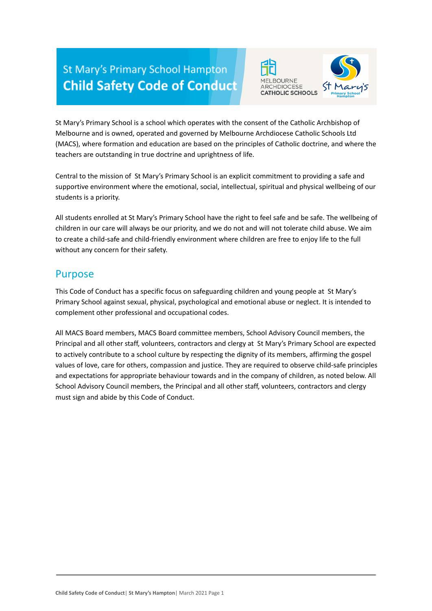# **St Mary's Primary School Hampton Child Safety Code of Conduct**





St Mary's Primary School is a school which operates with the consent of the Catholic Archbishop of Melbourne and is owned, operated and governed by Melbourne Archdiocese Catholic Schools Ltd (MACS), where formation and education are based on the principles of Catholic doctrine, and where the teachers are outstanding in true doctrine and uprightness of life.

Central to the mission of St Mary's Primary School is an explicit commitment to providing a safe and supportive environment where the emotional, social, intellectual, spiritual and physical wellbeing of our students is a priority.

All students enrolled at St Mary's Primary School have the right to feel safe and be safe. The wellbeing of children in our care will always be our priority, and we do not and will not tolerate child abuse. We aim to create a child-safe and child-friendly environment where children are free to enjoy life to the full without any concern for their safety.

#### Purpose

This Code of Conduct has a specific focus on safeguarding children and young people at St Mary's Primary School against sexual, physical, psychological and emotional abuse or neglect. It is intended to complement other professional and occupational codes.

All MACS Board members, MACS Board committee members, School Advisory Council members, the Principal and all other staff, volunteers, contractors and clergy at St Mary's Primary School are expected to actively contribute to a school culture by respecting the dignity of its members, affirming the gospel values of love, care for others, compassion and justice. They are required to observe child-safe principles and expectations for appropriate behaviour towards and in the company of children, as noted below. All School Advisory Council members, the Principal and all other staff, volunteers, contractors and clergy must sign and abide by this Code of Conduct.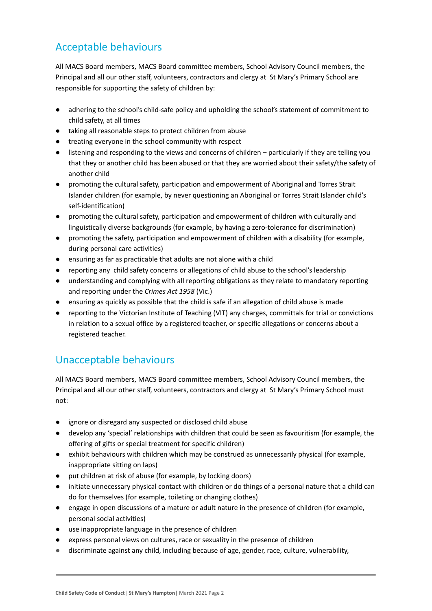### Acceptable behaviours

All MACS Board members, MACS Board committee members, School Advisory Council members, the Principal and all our other staff, volunteers, contractors and clergy at St Mary's Primary School are responsible for supporting the safety of children by:

- adhering to the school's child-safe policy and upholding the school's statement of commitment to child safety, at all times
- taking all reasonable steps to protect children from abuse
- treating everyone in the school community with respect
- listening and responding to the views and concerns of children particularly if they are telling you that they or another child has been abused or that they are worried about their safety/the safety of another child
- promoting the cultural safety, participation and empowerment of Aboriginal and Torres Strait Islander children (for example, by never questioning an Aboriginal or Torres Strait Islander child's self-identification)
- promoting the cultural safety, participation and empowerment of children with culturally and linguistically diverse backgrounds (for example, by having a zero-tolerance for discrimination)
- promoting the safety, participation and empowerment of children with a disability (for example, during personal care activities)
- ensuring as far as practicable that adults are not alone with a child
- reporting any child safety concerns or allegations of child abuse to the school's leadership
- understanding and complying with all reporting obligations as they relate to mandatory reporting and reporting under the *Crimes Act 1958* (Vic.)
- ensuring as quickly as possible that the child is safe if an allegation of child abuse is made
- reporting to the Victorian Institute of Teaching (VIT) any charges, committals for trial or convictions in relation to a sexual office by a registered teacher, or specific allegations or concerns about a registered teacher.

## Unacceptable behaviours

All MACS Board members, MACS Board committee members, School Advisory Council members, the Principal and all our other staff, volunteers, contractors and clergy at St Mary's Primary School must not:

- ignore or disregard any suspected or disclosed child abuse
- develop any 'special' relationships with children that could be seen as favouritism (for example, the offering of gifts or special treatment for specific children)
- exhibit behaviours with children which may be construed as unnecessarily physical (for example, inappropriate sitting on laps)
- put children at risk of abuse (for example, by locking doors)
- initiate unnecessary physical contact with children or do things of a personal nature that a child can do for themselves (for example, toileting or changing clothes)
- engage in open discussions of a mature or adult nature in the presence of children (for example, personal social activities)
- use inappropriate language in the presence of children
- express personal views on cultures, race or sexuality in the presence of children
- discriminate against any child, including because of age, gender, race, culture, vulnerability,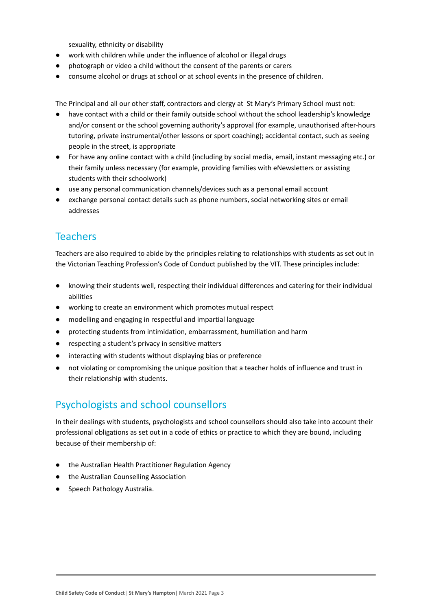sexuality, ethnicity or disability

- work with children while under the influence of alcohol or illegal drugs
- photograph or video a child without the consent of the parents or carers
- consume alcohol or drugs at school or at school events in the presence of children.

The Principal and all our other staff, contractors and clergy at St Mary's Primary School must not:

- have contact with a child or their family outside school without the school leadership's knowledge and/or consent or the school governing authority's approval (for example, unauthorised after-hours tutoring, private instrumental/other lessons or sport coaching); accidental contact, such as seeing people in the street, is appropriate
- For have any online contact with a child (including by social media, email, instant messaging etc.) or their family unless necessary (for example, providing families with eNewsletters or assisting students with their schoolwork)
- use any personal communication channels/devices such as a personal email account
- exchange personal contact details such as phone numbers, social networking sites or email addresses

#### Teachers

Teachers are also required to abide by the principles relating to relationships with students as set out in the Victorian Teaching Profession's Code of Conduct published by the VIT. These principles include:

- knowing their students well, respecting their individual differences and catering for their individual abilities
- working to create an environment which promotes mutual respect
- modelling and engaging in respectful and impartial language
- protecting students from intimidation, embarrassment, humiliation and harm
- respecting a student's privacy in sensitive matters
- interacting with students without displaying bias or preference
- not violating or compromising the unique position that a teacher holds of influence and trust in their relationship with students.

#### Psychologists and school counsellors

In their dealings with students, psychologists and school counsellors should also take into account their professional obligations as set out in a code of ethics or practice to which they are bound, including because of their membership of:

- the Australian Health Practitioner Regulation Agency
- the Australian Counselling Association
- Speech Pathology Australia.